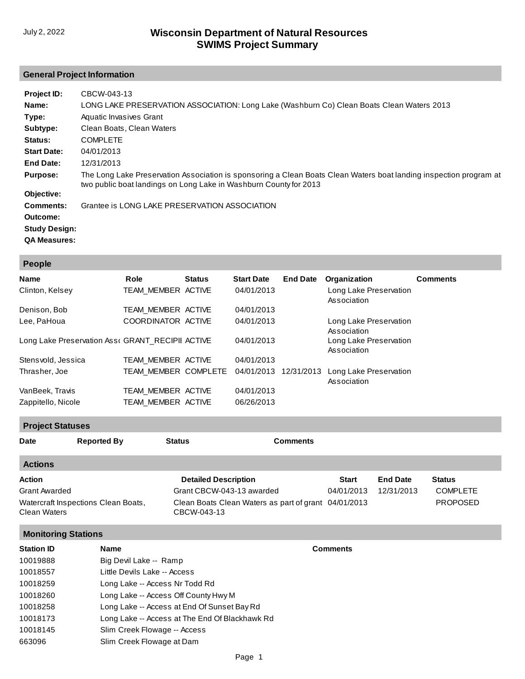## **General Project Information**

| Project ID:          | CBCW-043-13                                                                                                                                                                             |
|----------------------|-----------------------------------------------------------------------------------------------------------------------------------------------------------------------------------------|
| Name:                | LONG LAKE PRESERVATION ASSOCIATION: Long Lake (Washburn Co) Clean Boats Clean Waters 2013                                                                                               |
| Type:                | Aquatic Invasives Grant                                                                                                                                                                 |
| Subtype:             | Clean Boats, Clean Waters                                                                                                                                                               |
| <b>Status:</b>       | <b>COMPLETE</b>                                                                                                                                                                         |
| <b>Start Date:</b>   | 04/01/2013                                                                                                                                                                              |
| End Date:            | 12/31/2013                                                                                                                                                                              |
| <b>Purpose:</b>      | The Long Lake Preservation Association is sponsoring a Clean Boats Clean Waters boat landing inspection program at<br>two public boat landings on Long Lake in Washburn County for 2013 |
| Objective:           |                                                                                                                                                                                         |
| Comments:            | Grantee is LONG LAKE PRESERVATION ASSOCIATION                                                                                                                                           |
| Outcome:             |                                                                                                                                                                                         |
| <b>Study Design:</b> |                                                                                                                                                                                         |
| <b>QA Measures:</b>  |                                                                                                                                                                                         |

| <b>People</b>                                   |                      |               |                   |                 |                                       |                 |
|-------------------------------------------------|----------------------|---------------|-------------------|-----------------|---------------------------------------|-----------------|
| Name                                            | Role                 | <b>Status</b> | <b>Start Date</b> | <b>End Date</b> | Organization                          | <b>Comments</b> |
| Clinton, Kelsey                                 | TEAM MEMBER ACTIVE   |               | 04/01/2013        |                 | Long Lake Preservation<br>Association |                 |
| Denison, Bob                                    | TEAM MEMBER ACTIVE   |               | 04/01/2013        |                 |                                       |                 |
| Lee, PaHoua                                     | COORDINATOR ACTIVE   |               | 04/01/2013        |                 | Long Lake Preservation<br>Association |                 |
| Long Lake Preservation Ass GRANT_RECIPII ACTIVE |                      |               | 04/01/2013        |                 | Long Lake Preservation<br>Association |                 |
| Stensvold, Jessica                              | TEAM MEMBER ACTIVE   |               | 04/01/2013        |                 |                                       |                 |
| Thrasher, Joe                                   | TEAM MEMBER COMPLETE |               | 04/01/2013        | 12/31/2013      | Long Lake Preservation<br>Association |                 |
| VanBeek, Travis                                 | TEAM MEMBER ACTIVE   |               | 04/01/2013        |                 |                                       |                 |
| Zappitello, Nicole                              | TEAM MEMBER ACTIVE   |               | 06/26/2013        |                 |                                       |                 |

**Project Statuses**

| <b>Date</b><br><b>Reported By</b>   |  | <b>Status</b>                                        | <b>Comments</b> |                 |                 |  |
|-------------------------------------|--|------------------------------------------------------|-----------------|-----------------|-----------------|--|
| <b>Actions</b>                      |  |                                                      |                 |                 |                 |  |
| <b>Action</b>                       |  | <b>Detailed Description</b>                          | <b>Start</b>    | <b>End Date</b> | <b>Status</b>   |  |
| <b>Grant Awarded</b>                |  | Grant CBCW-043-13 awarded                            | 04/01/2013      | 12/31/2013      | <b>COMPLETE</b> |  |
| Watercraft Inconoctions Clean Roate |  | Clean Boats Clean Waters as part of grapt 04/01/2013 |                 |                 | <b>DRODOSED</b> |  |

| Watercraft Inspections Clean Boats,<br><b>Clean Waters</b> |                             | Clean Boats Clean Waters as part of grant 04/01/2013<br>CBCW-043-13 | <b>PROPOSED</b> |
|------------------------------------------------------------|-----------------------------|---------------------------------------------------------------------|-----------------|
| <b>Monitoring Stations</b>                                 |                             |                                                                     |                 |
| <b>Station ID</b>                                          | Name                        | <b>Comments</b>                                                     |                 |
| 10019888                                                   | Big Devil Lake -- Ramp      |                                                                     |                 |
| 10018557                                                   | ittle Devile Lake -- Access |                                                                     |                 |

| 10018557 | Little Devils Lake -- Access                   |
|----------|------------------------------------------------|
| 10018259 | Long Lake -- Access Nr Todd Rd                 |
| 10018260 | Long Lake -- Access Off County Hwy M           |
| 10018258 | Long Lake -- Access at End Of Sunset Bay Rd    |
| 10018173 | Long Lake -- Access at The End Of Blackhawk Rd |
| 10018145 | Slim Creek Flowage -- Access                   |
| 663096   | Slim Creek Flowage at Dam                      |
|          |                                                |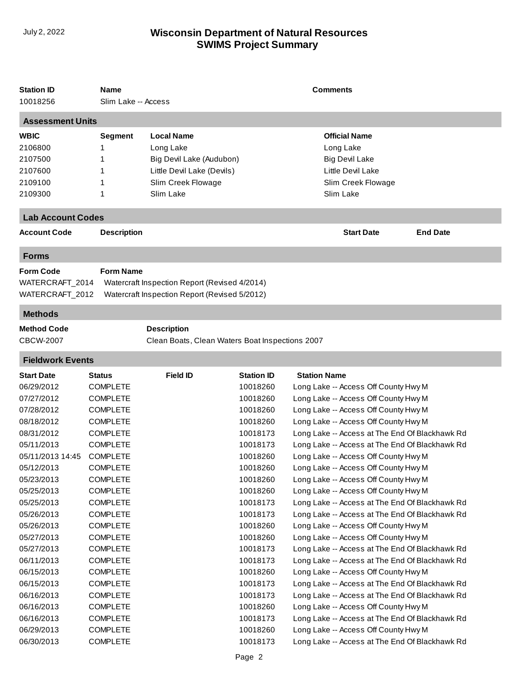## **SWIMS Project Summary** July 2, 2022 **Wisconsin Department of Natural Resources**

| <b>Station ID</b><br>10018256                                      | Name<br>Slim Lake -- Access                                           | <b>Comments</b>                                                                                                             |                   |                                                                                                                    |                 |  |  |
|--------------------------------------------------------------------|-----------------------------------------------------------------------|-----------------------------------------------------------------------------------------------------------------------------|-------------------|--------------------------------------------------------------------------------------------------------------------|-----------------|--|--|
|                                                                    |                                                                       |                                                                                                                             |                   |                                                                                                                    |                 |  |  |
| <b>Assessment Units</b>                                            |                                                                       |                                                                                                                             |                   |                                                                                                                    |                 |  |  |
| <b>WBIC</b><br>2106800<br>2107500<br>2107600<br>2109100<br>2109300 | <b>Segment</b>                                                        | <b>Local Name</b><br>Long Lake<br>Big Devil Lake (Audubon)<br>Little Devil Lake (Devils)<br>Slim Creek Flowage<br>Slim Lake |                   | <b>Official Name</b><br>Long Lake<br><b>Big Devil Lake</b><br>Little Devil Lake<br>Slim Creek Flowage<br>Slim Lake |                 |  |  |
| <b>Lab Account Codes</b>                                           |                                                                       |                                                                                                                             |                   |                                                                                                                    |                 |  |  |
| <b>Account Code</b>                                                | <b>Description</b>                                                    |                                                                                                                             |                   | <b>Start Date</b>                                                                                                  | <b>End Date</b> |  |  |
| <b>Forms</b>                                                       |                                                                       |                                                                                                                             |                   |                                                                                                                    |                 |  |  |
| <b>Form Code</b><br>WATERCRAFT_2014<br>WATERCRAFT_2012             | <b>Form Name</b>                                                      | Watercraft Inspection Report (Revised 4/2014)<br>Watercraft Inspection Report (Revised 5/2012)                              |                   |                                                                                                                    |                 |  |  |
| <b>Methods</b>                                                     |                                                                       |                                                                                                                             |                   |                                                                                                                    |                 |  |  |
| <b>Method Code</b><br><b>CBCW-2007</b>                             | <b>Description</b><br>Clean Boats, Clean Waters Boat Inspections 2007 |                                                                                                                             |                   |                                                                                                                    |                 |  |  |
| <b>Fieldwork Events</b>                                            |                                                                       |                                                                                                                             |                   |                                                                                                                    |                 |  |  |
| <b>Start Date</b>                                                  | <b>Status</b>                                                         | <b>Field ID</b>                                                                                                             | <b>Station ID</b> | <b>Station Name</b>                                                                                                |                 |  |  |
| 06/29/2012                                                         | <b>COMPLETE</b>                                                       |                                                                                                                             | 10018260          | Long Lake -- Access Off County Hwy M                                                                               |                 |  |  |
| 07/27/2012                                                         | <b>COMPLETE</b>                                                       |                                                                                                                             | 10018260          | Long Lake -- Access Off County Hwy M                                                                               |                 |  |  |
| 07/28/2012                                                         | <b>COMPLETE</b>                                                       |                                                                                                                             | 10018260          | Long Lake -- Access Off County Hwy M                                                                               |                 |  |  |
| 08/18/2012                                                         | <b>COMPLETE</b>                                                       |                                                                                                                             | 10018260          | Long Lake -- Access Off County Hwy M                                                                               |                 |  |  |
| 08/31/2012                                                         | <b>COMPLETE</b>                                                       |                                                                                                                             | 10018173          | Long Lake -- Access at The End Of Blackhawk Rd                                                                     |                 |  |  |
| 05/11/2013                                                         | <b>COMPLETE</b>                                                       |                                                                                                                             | 10018173          | Long Lake -- Access at The End Of Blackhawk Rd                                                                     |                 |  |  |
| 05/11/2013 14:45                                                   | <b>COMPLETE</b>                                                       |                                                                                                                             | 10018260          | Long Lake -- Access Off County Hwy M                                                                               |                 |  |  |
| 05/12/2013                                                         | <b>COMPLETE</b>                                                       |                                                                                                                             | 10018260          | Long Lake -- Access Off County Hwy M                                                                               |                 |  |  |
| 05/23/2013                                                         | <b>COMPLETE</b>                                                       |                                                                                                                             | 10018260          | Long Lake -- Access Off County Hwy M                                                                               |                 |  |  |
| 05/25/2013                                                         | <b>COMPLETE</b>                                                       |                                                                                                                             | 10018260          | Long Lake -- Access Off County Hwy M                                                                               |                 |  |  |
| 05/25/2013                                                         | <b>COMPLETE</b>                                                       |                                                                                                                             | 10018173          | Long Lake -- Access at The End Of Blackhawk Rd                                                                     |                 |  |  |
| 05/26/2013                                                         | <b>COMPLETE</b>                                                       |                                                                                                                             | 10018173          | Long Lake -- Access at The End Of Blackhawk Rd                                                                     |                 |  |  |
| 05/26/2013                                                         | <b>COMPLETE</b>                                                       |                                                                                                                             | 10018260          | Long Lake -- Access Off County Hwy M                                                                               |                 |  |  |
| 05/27/2013                                                         | <b>COMPLETE</b>                                                       |                                                                                                                             | 10018260          | Long Lake -- Access Off County Hwy M                                                                               |                 |  |  |
| 05/27/2013                                                         | <b>COMPLETE</b>                                                       |                                                                                                                             | 10018173          | Long Lake -- Access at The End Of Blackhawk Rd                                                                     |                 |  |  |
| 06/11/2013                                                         | <b>COMPLETE</b>                                                       |                                                                                                                             | 10018173          | Long Lake -- Access at The End Of Blackhawk Rd                                                                     |                 |  |  |
| 06/15/2013                                                         | <b>COMPLETE</b>                                                       |                                                                                                                             | 10018260          | Long Lake -- Access Off County Hwy M                                                                               |                 |  |  |
| 06/15/2013                                                         | <b>COMPLETE</b>                                                       |                                                                                                                             | 10018173          | Long Lake -- Access at The End Of Blackhawk Rd                                                                     |                 |  |  |
| 06/16/2013                                                         | <b>COMPLETE</b>                                                       |                                                                                                                             | 10018173          | Long Lake -- Access at The End Of Blackhawk Rd                                                                     |                 |  |  |
| 06/16/2013                                                         | <b>COMPLETE</b>                                                       |                                                                                                                             | 10018260          | Long Lake -- Access Off County Hwy M                                                                               |                 |  |  |
| 06/16/2013                                                         | <b>COMPLETE</b>                                                       |                                                                                                                             | 10018173          | Long Lake -- Access at The End Of Blackhawk Rd                                                                     |                 |  |  |
| 06/29/2013                                                         | <b>COMPLETE</b>                                                       |                                                                                                                             | 10018260          | Long Lake -- Access Off County Hwy M                                                                               |                 |  |  |
| 06/30/2013                                                         | <b>COMPLETE</b>                                                       |                                                                                                                             | 10018173          | Long Lake -- Access at The End Of Blackhawk Rd                                                                     |                 |  |  |